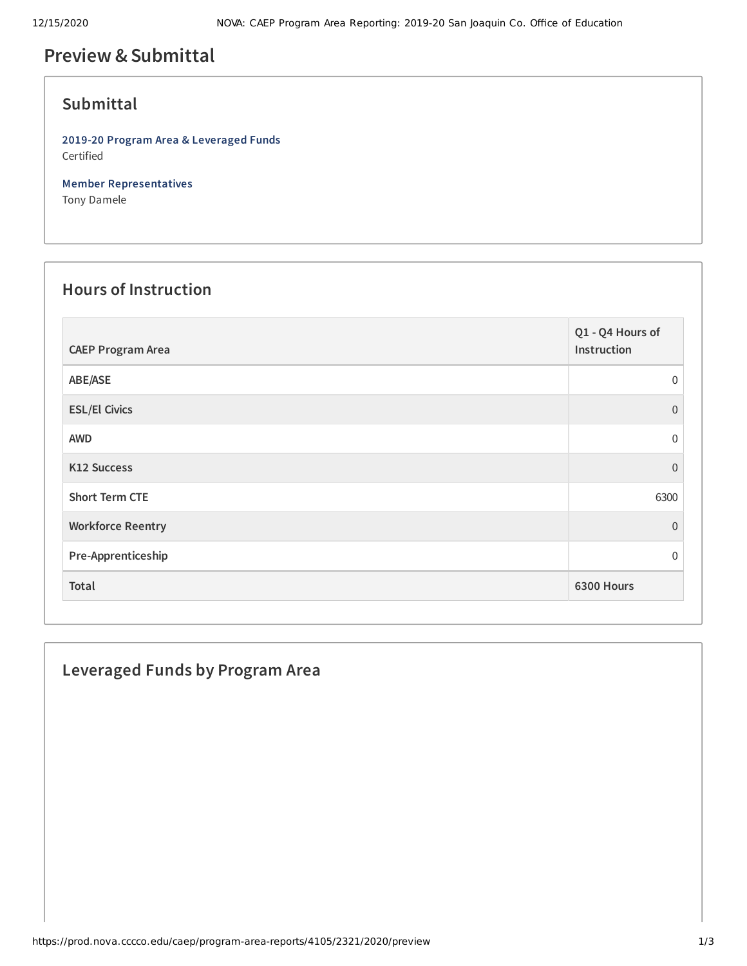# **Preview &Submittal**

#### **Submittal**

**2019-20 Program Area & Leveraged Funds** Certified

**Member Representatives** Tony Damele

#### **Hours of Instruction**

| <b>CAEP Program Area</b> | Q1 - Q4 Hours of<br>Instruction |
|--------------------------|---------------------------------|
| ABE/ASE                  | $\Omega$                        |
| <b>ESL/El Civics</b>     | $\Omega$                        |
| <b>AWD</b>               | $\Omega$                        |
| K12 Success              | $\Omega$                        |
| <b>Short Term CTE</b>    | 6300                            |
| <b>Workforce Reentry</b> | $\Omega$                        |
| Pre-Apprenticeship       | $\Omega$                        |
| Total                    | 6300 Hours                      |

## **Leveraged Funds by Program Area**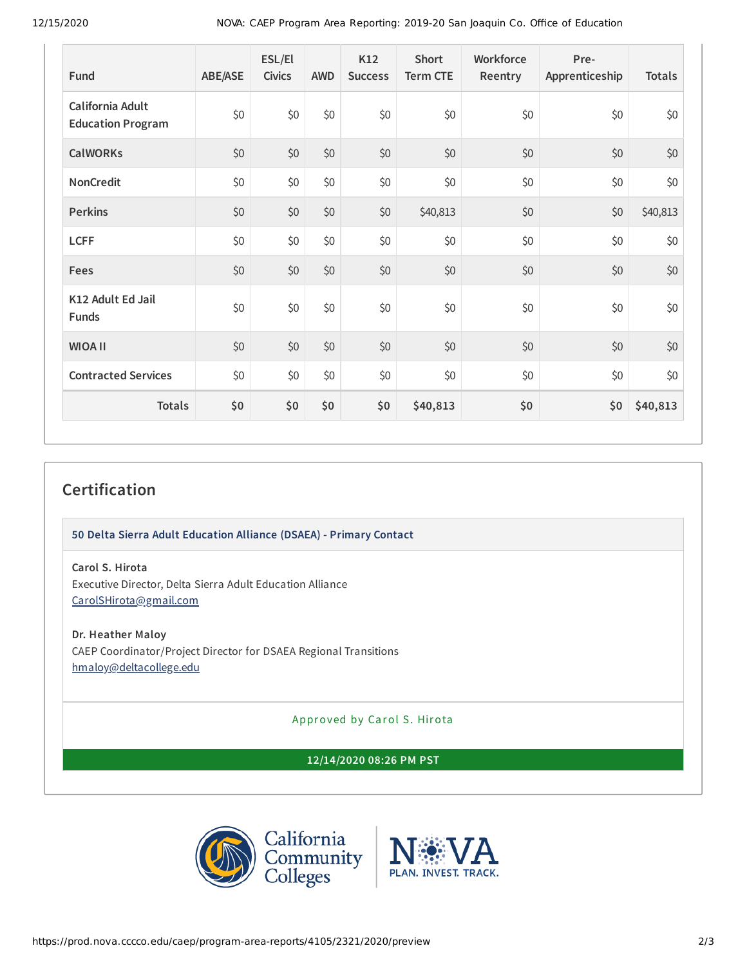| Fund                                         | <b>ABE/ASE</b> | ESL/El<br><b>Civics</b> | <b>AWD</b> | K12<br><b>Success</b> | <b>Short</b><br><b>Term CTE</b> | Workforce<br>Reentry | Pre-<br>Apprenticeship | <b>Totals</b> |
|----------------------------------------------|----------------|-------------------------|------------|-----------------------|---------------------------------|----------------------|------------------------|---------------|
| California Adult<br><b>Education Program</b> | \$0            | \$0                     | \$0        | \$0                   | \$0                             | \$0                  | \$0                    | \$0           |
| <b>CalWORKs</b>                              | \$0            | \$0                     | \$0        | \$0                   | \$0                             | \$0                  | \$0                    | \$0           |
| NonCredit                                    | \$0            | \$0                     | \$0        | \$0                   | \$0                             | \$0                  | \$0                    | \$0           |
| <b>Perkins</b>                               | \$0            | \$0                     | \$0        | \$0                   | \$40,813                        | \$0                  | \$0                    | \$40,813      |
| <b>LCFF</b>                                  | \$0            | \$0                     | \$0        | \$0                   | \$0                             | \$0                  | \$0                    | \$0           |
| Fees                                         | \$0            | \$0                     | \$0        | \$0                   | \$0                             | \$0                  | \$0                    | \$0           |
| K12 Adult Ed Jail<br>Funds                   | \$0            | \$0                     | \$0        | \$0                   | \$0                             | \$0                  | \$0                    | \$0           |
| <b>WIOA II</b>                               | \$0            | \$0                     | \$0        | \$0                   | \$0                             | \$0                  | \$0                    | \$0           |
| <b>Contracted Services</b>                   | \$0            | \$0                     | \$0        | \$0                   | \$0                             | \$0                  | \$0                    | \$0           |
| <b>Totals</b>                                | \$0            | \$0                     | \$0        | \$0                   | \$40,813                        | \$0                  | \$0                    | \$40,813      |

### **Certification**

**50 Delta Sierra Adult Education Alliance (DSAEA) - Primary Contact**

**Carol S. Hirota**

Executive Director, Delta Sierra Adult Education Alliance [CarolSHirota@gmail.com](mailto:CarolSHirota@gmail.com)

**Dr. Heather Maloy** CAEP Coordinator/Project Director for DSAEA Regional Transitions [hmaloy@deltacollege.edu](mailto:hmaloy@deltacollege.edu)

Approved by Carol S. Hirota

**12/14/2020 08:26 PM PST**